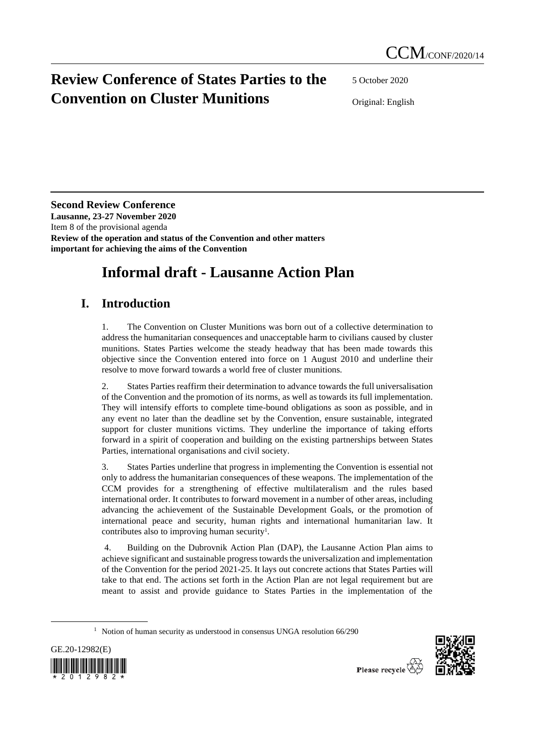# **Review Conference of States Parties to the Convention on Cluster Munitions**

5 October 2020

Original: English

**Second Review Conference Lausanne, 23-27 November 2020** Item 8 of the provisional agenda **Review of the operation and status of the Convention and other matters important for achieving the aims of the Convention**

# **Informal draft - Lausanne Action Plan**

# **I. Introduction**

1. The Convention on Cluster Munitions was born out of a collective determination to address the humanitarian consequences and unacceptable harm to civilians caused by cluster munitions. States Parties welcome the steady headway that has been made towards this objective since the Convention entered into force on 1 August 2010 and underline their resolve to move forward towards a world free of cluster munitions.

2. States Parties reaffirm their determination to advance towards the full universalisation of the Convention and the promotion of its norms, as well as towards its full implementation. They will intensify efforts to complete time-bound obligations as soon as possible, and in any event no later than the deadline set by the Convention, ensure sustainable, integrated support for cluster munitions victims. They underline the importance of taking efforts forward in a spirit of cooperation and building on the existing partnerships between States Parties, international organisations and civil society.

3. States Parties underline that progress in implementing the Convention is essential not only to address the humanitarian consequences of these weapons. The implementation of the CCM provides for a strengthening of effective multilateralism and the rules based international order. It contributes to forward movement in a number of other areas, including advancing the achievement of the Sustainable Development Goals, or the promotion of international peace and security, human rights and international humanitarian law. It contributes also to improving human security<sup>1</sup>.

4. Building on the Dubrovnik Action Plan (DAP), the Lausanne Action Plan aims to achieve significant and sustainable progress towards the universalization and implementation of the Convention for the period 2021-25. It lays out concrete actions that States Parties will take to that end. The actions set forth in the Action Plan are not legal requirement but are meant to assist and provide guidance to States Parties in the implementation of the

<sup>&</sup>lt;sup>1</sup> Notion of human security as understood in consensus UNGA resolution 66/290



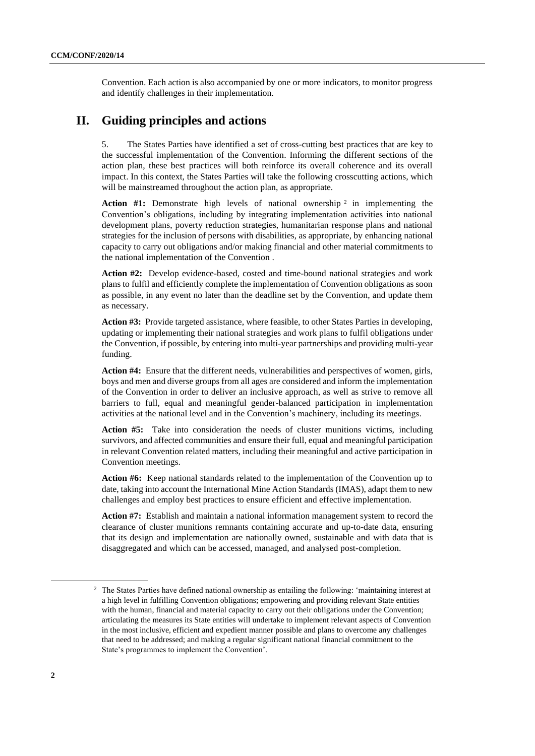Convention. Each action is also accompanied by one or more indicators, to monitor progress and identify challenges in their implementation.

## **II. Guiding principles and actions**

5. The States Parties have identified a set of cross-cutting best practices that are key to the successful implementation of the Convention. Informing the different sections of the action plan, these best practices will both reinforce its overall coherence and its overall impact. In this context, the States Parties will take the following crosscutting actions, which will be mainstreamed throughout the action plan, as appropriate.

**Action**  $#1$ **:** Demonstrate high levels of national ownership  $2$  in implementing the Convention's obligations, including by integrating implementation activities into national development plans, poverty reduction strategies, humanitarian response plans and national strategies for the inclusion of persons with disabilities, as appropriate, by enhancing national capacity to carry out obligations and/or making financial and other material commitments to the national implementation of the Convention .

**Action #2:** Develop evidence-based, costed and time-bound national strategies and work plans to fulfil and efficiently complete the implementation of Convention obligations as soon as possible, in any event no later than the deadline set by the Convention, and update them as necessary.

**Action #3:** Provide targeted assistance, where feasible, to other States Parties in developing, updating or implementing their national strategies and work plans to fulfil obligations under the Convention, if possible, by entering into multi-year partnerships and providing multi-year funding.

**Action #4:** Ensure that the different needs, vulnerabilities and perspectives of women, girls, boys and men and diverse groups from all ages are considered and inform the implementation of the Convention in order to deliver an inclusive approach, as well as strive to remove all barriers to full, equal and meaningful gender-balanced participation in implementation activities at the national level and in the Convention's machinery, including its meetings.

**Action #5:** Take into consideration the needs of cluster munitions victims, including survivors, and affected communities and ensure their full, equal and meaningful participation in relevant Convention related matters, including their meaningful and active participation in Convention meetings.

**Action #6:** Keep national standards related to the implementation of the Convention up to date, taking into account the International Mine Action Standards (IMAS), adapt them to new challenges and employ best practices to ensure efficient and effective implementation.

**Action #7:** Establish and maintain a national information management system to record the clearance of cluster munitions remnants containing accurate and up-to-date data, ensuring that its design and implementation are nationally owned, sustainable and with data that is disaggregated and which can be accessed, managed, and analysed post-completion.

<sup>&</sup>lt;sup>2</sup> The States Parties have defined national ownership as entailing the following: 'maintaining interest at a high level in fulfilling Convention obligations; empowering and providing relevant State entities with the human, financial and material capacity to carry out their obligations under the Convention; articulating the measures its State entities will undertake to implement relevant aspects of Convention in the most inclusive, efficient and expedient manner possible and plans to overcome any challenges that need to be addressed; and making a regular significant national financial commitment to the State's programmes to implement the Convention'.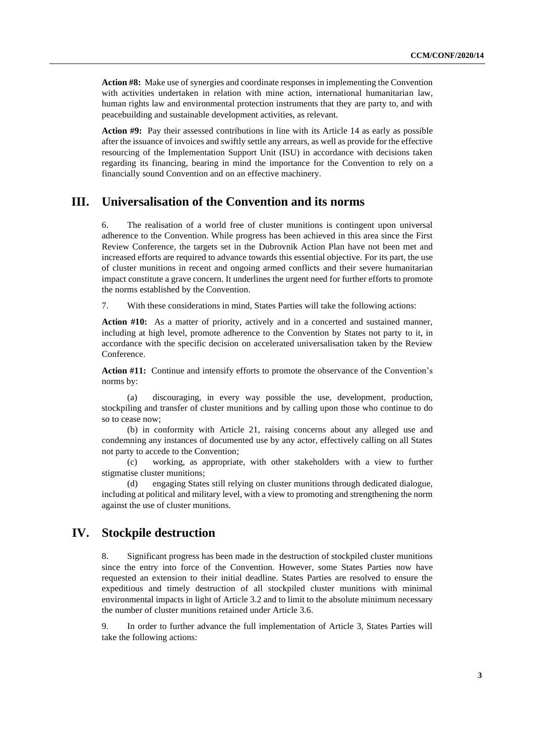**Action #8:** Make use of synergies and coordinate responses in implementing the Convention with activities undertaken in relation with mine action, international humanitarian law, human rights law and environmental protection instruments that they are party to, and with peacebuilding and sustainable development activities, as relevant.

**Action #9:** Pay their assessed contributions in line with its Article 14 as early as possible after the issuance of invoices and swiftly settle any arrears, as well as provide for the effective resourcing of the Implementation Support Unit (ISU) in accordance with decisions taken regarding its financing, bearing in mind the importance for the Convention to rely on a financially sound Convention and on an effective machinery.

### **III. Universalisation of the Convention and its norms**

6. The realisation of a world free of cluster munitions is contingent upon universal adherence to the Convention. While progress has been achieved in this area since the First Review Conference, the targets set in the Dubrovnik Action Plan have not been met and increased efforts are required to advance towards this essential objective. For its part, the use of cluster munitions in recent and ongoing armed conflicts and their severe humanitarian impact constitute a grave concern. It underlines the urgent need for further efforts to promote the norms established by the Convention.

7. With these considerations in mind, States Parties will take the following actions:

**Action #10:** As a matter of priority, actively and in a concerted and sustained manner, including at high level, promote adherence to the Convention by States not party to it, in accordance with the specific decision on accelerated universalisation taken by the Review Conference.

**Action #11:** Continue and intensify efforts to promote the observance of the Convention's norms by:

(a) discouraging, in every way possible the use, development, production, stockpiling and transfer of cluster munitions and by calling upon those who continue to do so to cease now;

(b) in conformity with Article 21, raising concerns about any alleged use and condemning any instances of documented use by any actor, effectively calling on all States not party to accede to the Convention;

(c) working, as appropriate, with other stakeholders with a view to further stigmatise cluster munitions;

(d) engaging States still relying on cluster munitions through dedicated dialogue, including at political and military level, with a view to promoting and strengthening the norm against the use of cluster munitions.

### **IV. Stockpile destruction**

8. Significant progress has been made in the destruction of stockpiled cluster munitions since the entry into force of the Convention. However, some States Parties now have requested an extension to their initial deadline. States Parties are resolved to ensure the expeditious and timely destruction of all stockpiled cluster munitions with minimal environmental impacts in light of Article 3.2 and to limit to the absolute minimum necessary the number of cluster munitions retained under Article 3.6.

9. In order to further advance the full implementation of Article 3, States Parties will take the following actions: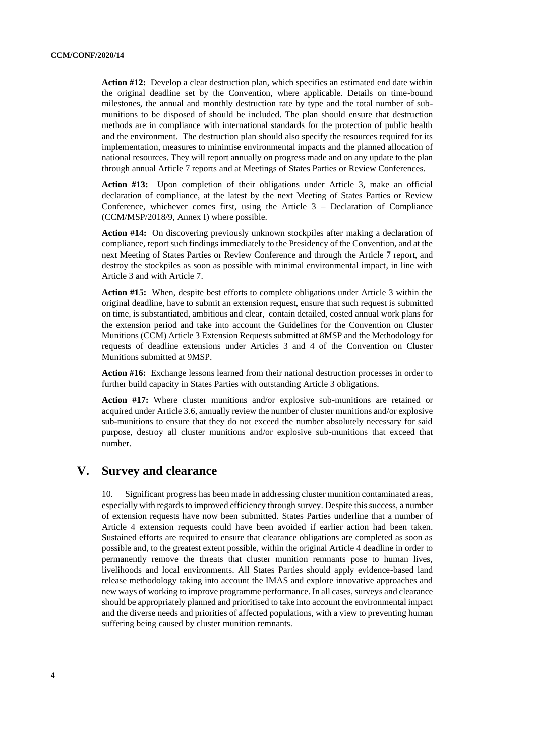**Action #12:** Develop a clear destruction plan, which specifies an estimated end date within the original deadline set by the Convention, where applicable. Details on time-bound milestones, the annual and monthly destruction rate by type and the total number of submunitions to be disposed of should be included. The plan should ensure that destruction methods are in compliance with international standards for the protection of public health and the environment. The destruction plan should also specify the resources required for its implementation, measures to minimise environmental impacts and the planned allocation of national resources. They will report annually on progress made and on any update to the plan through annual Article 7 reports and at Meetings of States Parties or Review Conferences.

**Action #13:** Upon completion of their obligations under Article 3, make an official declaration of compliance, at the latest by the next Meeting of States Parties or Review Conference, whichever comes first, using the Article  $3$  – Declaration of Compliance (CCM/MSP/2018/9, Annex I) where possible.

**Action #14:** On discovering previously unknown stockpiles after making a declaration of compliance, report such findings immediately to the Presidency of the Convention, and at the next Meeting of States Parties or Review Conference and through the Article 7 report, and destroy the stockpiles as soon as possible with minimal environmental impact, in line with Article 3 and with Article 7.

**Action #15:** When, despite best efforts to complete obligations under Article 3 within the original deadline, have to submit an extension request, ensure that such request is submitted on time, is substantiated, ambitious and clear, contain detailed, costed annual work plans for the extension period and take into account the Guidelines for the Convention on Cluster Munitions (CCM) Article 3 Extension Requests submitted at 8MSP and the Methodology for requests of deadline extensions under Articles 3 and 4 of the Convention on Cluster Munitions submitted at 9MSP.

**Action #16:** Exchange lessons learned from their national destruction processes in order to further build capacity in States Parties with outstanding Article 3 obligations.

**Action #17:** Where cluster munitions and/or explosive sub-munitions are retained or acquired under Article 3.6, annually review the number of cluster munitions and/or explosive sub-munitions to ensure that they do not exceed the number absolutely necessary for said purpose, destroy all cluster munitions and/or explosive sub-munitions that exceed that number.

### **V. Survey and clearance**

10. Significant progress has been made in addressing cluster munition contaminated areas, especially with regards to improved efficiency through survey. Despite this success, a number of extension requests have now been submitted. States Parties underline that a number of Article 4 extension requests could have been avoided if earlier action had been taken. Sustained efforts are required to ensure that clearance obligations are completed as soon as possible and, to the greatest extent possible, within the original Article 4 deadline in order to permanently remove the threats that cluster munition remnants pose to human lives, livelihoods and local environments. All States Parties should apply evidence-based land release methodology taking into account the IMAS and explore innovative approaches and new ways of working to improve programme performance. In all cases, surveys and clearance should be appropriately planned and prioritised to take into account the environmental impact and the diverse needs and priorities of affected populations, with a view to preventing human suffering being caused by cluster munition remnants.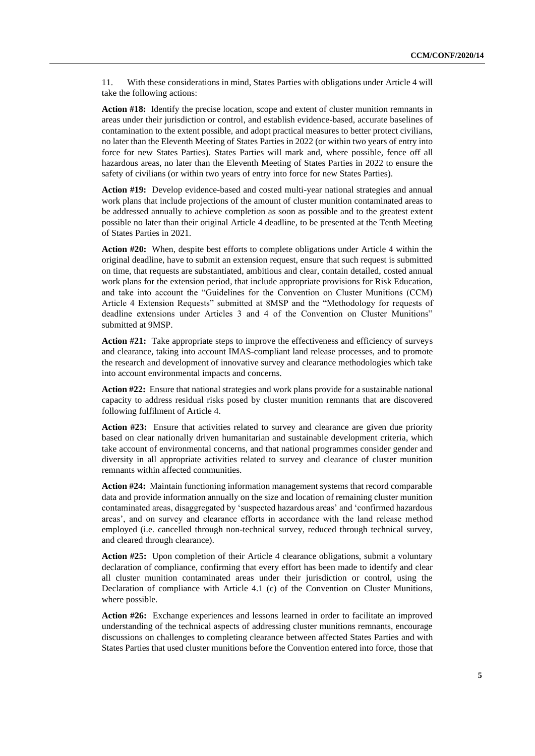11. With these considerations in mind, States Parties with obligations under Article 4 will take the following actions:

**Action #18:** Identify the precise location, scope and extent of cluster munition remnants in areas under their jurisdiction or control, and establish evidence-based, accurate baselines of contamination to the extent possible, and adopt practical measures to better protect civilians, no later than the Eleventh Meeting of States Parties in 2022 (or within two years of entry into force for new States Parties). States Parties will mark and, where possible, fence off all hazardous areas, no later than the Eleventh Meeting of States Parties in 2022 to ensure the safety of civilians (or within two years of entry into force for new States Parties).

**Action #19:** Develop evidence-based and costed multi-year national strategies and annual work plans that include projections of the amount of cluster munition contaminated areas to be addressed annually to achieve completion as soon as possible and to the greatest extent possible no later than their original Article 4 deadline, to be presented at the Tenth Meeting of States Parties in 2021.

**Action #20:** When, despite best efforts to complete obligations under Article 4 within the original deadline, have to submit an extension request, ensure that such request is submitted on time, that requests are substantiated, ambitious and clear, contain detailed, costed annual work plans for the extension period, that include appropriate provisions for Risk Education, and take into account the "Guidelines for the Convention on Cluster Munitions (CCM) Article 4 Extension Requests" submitted at 8MSP and the "Methodology for requests of deadline extensions under Articles 3 and 4 of the Convention on Cluster Munitions" submitted at 9MSP.

Action #21: Take appropriate steps to improve the effectiveness and efficiency of surveys and clearance, taking into account IMAS-compliant land release processes, and to promote the research and development of innovative survey and clearance methodologies which take into account environmental impacts and concerns.

**Action #22:** Ensure that national strategies and work plans provide for a sustainable national capacity to address residual risks posed by cluster munition remnants that are discovered following fulfilment of Article 4.

**Action #23:** Ensure that activities related to survey and clearance are given due priority based on clear nationally driven humanitarian and sustainable development criteria, which take account of environmental concerns, and that national programmes consider gender and diversity in all appropriate activities related to survey and clearance of cluster munition remnants within affected communities.

**Action #24:** Maintain functioning information management systems that record comparable data and provide information annually on the size and location of remaining cluster munition contaminated areas, disaggregated by 'suspected hazardous areas' and 'confirmed hazardous areas', and on survey and clearance efforts in accordance with the land release method employed (i.e. cancelled through non-technical survey, reduced through technical survey, and cleared through clearance).

**Action #25:** Upon completion of their Article 4 clearance obligations, submit a voluntary declaration of compliance, confirming that every effort has been made to identify and clear all cluster munition contaminated areas under their jurisdiction or control, using the Declaration of compliance with Article 4.1 (c) of the Convention on Cluster Munitions, where possible.

**Action #26:** Exchange experiences and lessons learned in order to facilitate an improved understanding of the technical aspects of addressing cluster munitions remnants, encourage discussions on challenges to completing clearance between affected States Parties and with States Parties that used cluster munitions before the Convention entered into force, those that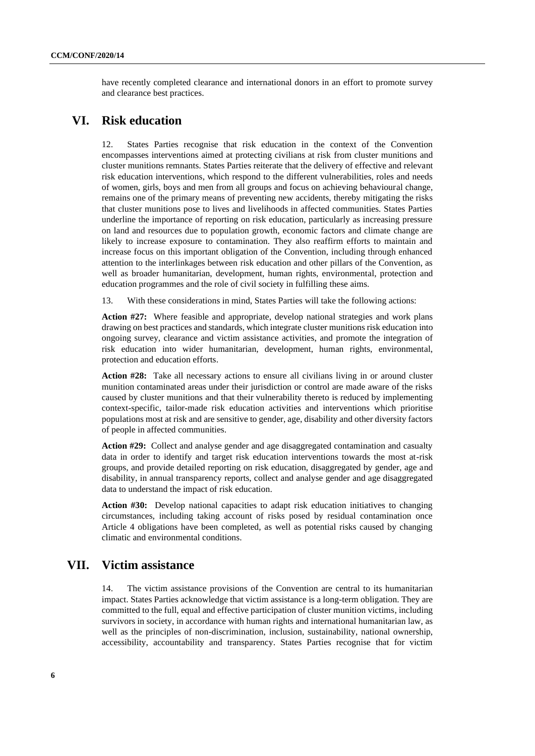have recently completed clearance and international donors in an effort to promote survey and clearance best practices.

#### **VI. Risk education**

12. States Parties recognise that risk education in the context of the Convention encompasses interventions aimed at protecting civilians at risk from cluster munitions and cluster munitions remnants. States Parties reiterate that the delivery of effective and relevant risk education interventions, which respond to the different vulnerabilities, roles and needs of women, girls, boys and men from all groups and focus on achieving behavioural change, remains one of the primary means of preventing new accidents, thereby mitigating the risks that cluster munitions pose to lives and livelihoods in affected communities. States Parties underline the importance of reporting on risk education, particularly as increasing pressure on land and resources due to population growth, economic factors and climate change are likely to increase exposure to contamination. They also reaffirm efforts to maintain and increase focus on this important obligation of the Convention, including through enhanced attention to the interlinkages between risk education and other pillars of the Convention, as well as broader humanitarian, development, human rights, environmental, protection and education programmes and the role of civil society in fulfilling these aims.

13. With these considerations in mind, States Parties will take the following actions:

**Action #27:** Where feasible and appropriate, develop national strategies and work plans drawing on best practices and standards, which integrate cluster munitions risk education into ongoing survey, clearance and victim assistance activities, and promote the integration of risk education into wider humanitarian, development, human rights, environmental, protection and education efforts.

**Action #28:** Take all necessary actions to ensure all civilians living in or around cluster munition contaminated areas under their jurisdiction or control are made aware of the risks caused by cluster munitions and that their vulnerability thereto is reduced by implementing context-specific, tailor-made risk education activities and interventions which prioritise populations most at risk and are sensitive to gender, age, disability and other diversity factors of people in affected communities.

**Action #29:** Collect and analyse gender and age disaggregated contamination and casualty data in order to identify and target risk education interventions towards the most at-risk groups, and provide detailed reporting on risk education, disaggregated by gender, age and disability, in annual transparency reports, collect and analyse gender and age disaggregated data to understand the impact of risk education.

**Action #30:** Develop national capacities to adapt risk education initiatives to changing circumstances, including taking account of risks posed by residual contamination once Article 4 obligations have been completed, as well as potential risks caused by changing climatic and environmental conditions.

# **VII. Victim assistance**

14. The victim assistance provisions of the Convention are central to its humanitarian impact. States Parties acknowledge that victim assistance is a long-term obligation. They are committed to the full, equal and effective participation of cluster munition victims, including survivors in society, in accordance with human rights and international humanitarian law, as well as the principles of non-discrimination, inclusion, sustainability, national ownership, accessibility, accountability and transparency. States Parties recognise that for victim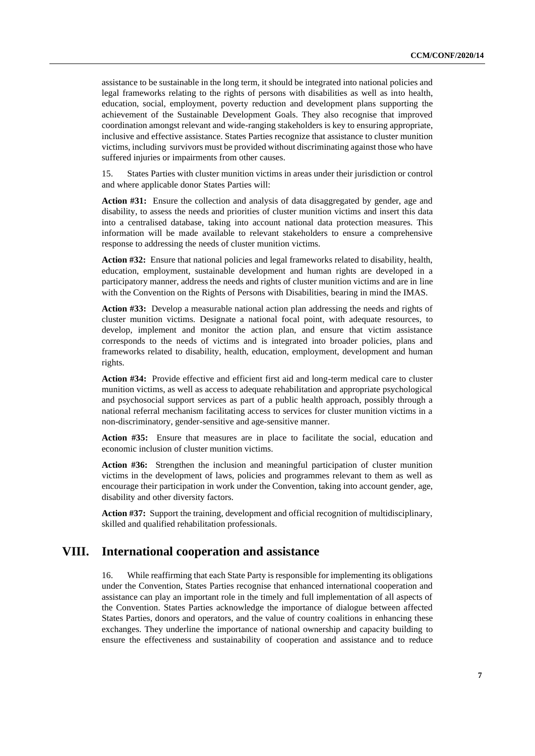assistance to be sustainable in the long term, it should be integrated into national policies and legal frameworks relating to the rights of persons with disabilities as well as into health, education, social, employment, poverty reduction and development plans supporting the achievement of the Sustainable Development Goals. They also recognise that improved coordination amongst relevant and wide-ranging stakeholders is key to ensuring appropriate, inclusive and effective assistance. States Parties recognize that assistance to cluster munition victims, including survivors must be provided without discriminating against those who have suffered injuries or impairments from other causes.

15. States Parties with cluster munition victims in areas under their jurisdiction or control and where applicable donor States Parties will:

**Action #31:** Ensure the collection and analysis of data disaggregated by gender, age and disability, to assess the needs and priorities of cluster munition victims and insert this data into a centralised database, taking into account national data protection measures. This information will be made available to relevant stakeholders to ensure a comprehensive response to addressing the needs of cluster munition victims.

**Action #32:** Ensure that national policies and legal frameworks related to disability, health, education, employment, sustainable development and human rights are developed in a participatory manner, address the needs and rights of cluster munition victims and are in line with the Convention on the Rights of Persons with Disabilities, bearing in mind the IMAS.

**Action #33:** Develop a measurable national action plan addressing the needs and rights of cluster munition victims. Designate a national focal point, with adequate resources, to develop, implement and monitor the action plan, and ensure that victim assistance corresponds to the needs of victims and is integrated into broader policies, plans and frameworks related to disability, health, education, employment, development and human rights.

**Action #34:** Provide effective and efficient first aid and long-term medical care to cluster munition victims, as well as access to adequate rehabilitation and appropriate psychological and psychosocial support services as part of a public health approach, possibly through a national referral mechanism facilitating access to services for cluster munition victims in a non-discriminatory, gender-sensitive and age-sensitive manner.

**Action #35:** Ensure that measures are in place to facilitate the social, education and economic inclusion of cluster munition victims.

**Action #36:** Strengthen the inclusion and meaningful participation of cluster munition victims in the development of laws, policies and programmes relevant to them as well as encourage their participation in work under the Convention, taking into account gender, age, disability and other diversity factors.

**Action #37:** Support the training, development and official recognition of multidisciplinary, skilled and qualified rehabilitation professionals.

#### **VIII. International cooperation and assistance**

16. While reaffirming that each State Party is responsible for implementing its obligations under the Convention, States Parties recognise that enhanced international cooperation and assistance can play an important role in the timely and full implementation of all aspects of the Convention. States Parties acknowledge the importance of dialogue between affected States Parties, donors and operators, and the value of country coalitions in enhancing these exchanges. They underline the importance of national ownership and capacity building to ensure the effectiveness and sustainability of cooperation and assistance and to reduce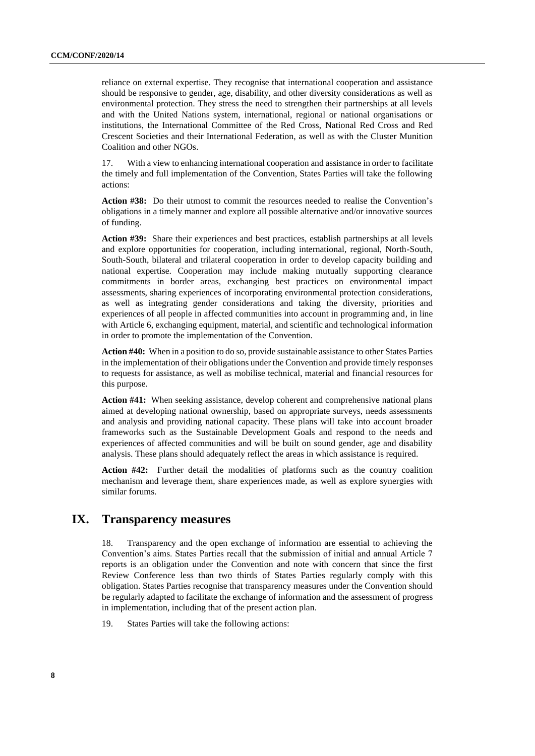reliance on external expertise. They recognise that international cooperation and assistance should be responsive to gender, age, disability, and other diversity considerations as well as environmental protection. They stress the need to strengthen their partnerships at all levels and with the United Nations system, international, regional or national organisations or institutions, the International Committee of the Red Cross, National Red Cross and Red Crescent Societies and their International Federation, as well as with the Cluster Munition Coalition and other NGOs.

17. With a view to enhancing international cooperation and assistance in order to facilitate the timely and full implementation of the Convention, States Parties will take the following actions:

**Action #38:** Do their utmost to commit the resources needed to realise the Convention's obligations in a timely manner and explore all possible alternative and/or innovative sources of funding.

**Action #39:** Share their experiences and best practices, establish partnerships at all levels and explore opportunities for cooperation, including international, regional, North-South, South-South, bilateral and trilateral cooperation in order to develop capacity building and national expertise. Cooperation may include making mutually supporting clearance commitments in border areas, exchanging best practices on environmental impact assessments, sharing experiences of incorporating environmental protection considerations, as well as integrating gender considerations and taking the diversity, priorities and experiences of all people in affected communities into account in programming and, in line with Article 6, exchanging equipment, material, and scientific and technological information in order to promote the implementation of the Convention.

**Action #40:** When in a position to do so, provide sustainable assistance to other States Parties in the implementation of their obligations under the Convention and provide timely responses to requests for assistance, as well as mobilise technical, material and financial resources for this purpose.

**Action #41:** When seeking assistance, develop coherent and comprehensive national plans aimed at developing national ownership, based on appropriate surveys, needs assessments and analysis and providing national capacity. These plans will take into account broader frameworks such as the Sustainable Development Goals and respond to the needs and experiences of affected communities and will be built on sound gender, age and disability analysis. These plans should adequately reflect the areas in which assistance is required.

**Action #42:** Further detail the modalities of platforms such as the country coalition mechanism and leverage them, share experiences made, as well as explore synergies with similar forums.

### **IX. Transparency measures**

18. Transparency and the open exchange of information are essential to achieving the Convention's aims. States Parties recall that the submission of initial and annual Article 7 reports is an obligation under the Convention and note with concern that since the first Review Conference less than two thirds of States Parties regularly comply with this obligation. States Parties recognise that transparency measures under the Convention should be regularly adapted to facilitate the exchange of information and the assessment of progress in implementation, including that of the present action plan.

19. States Parties will take the following actions: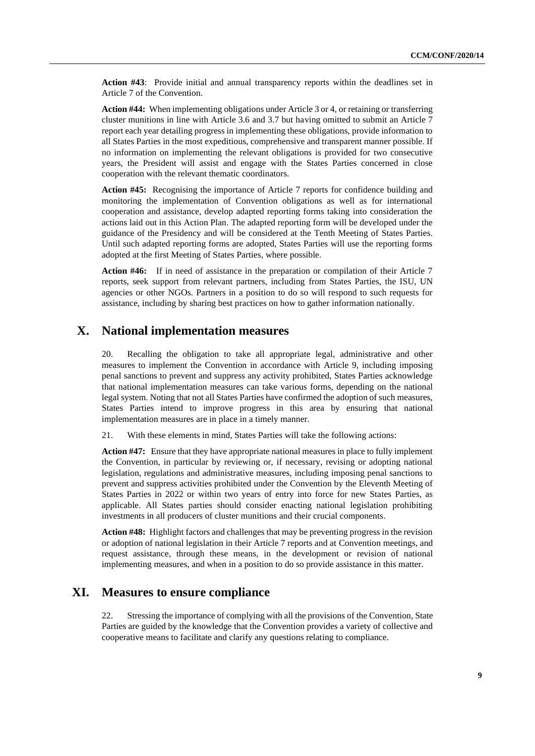**Action #43**: Provide initial and annual transparency reports within the deadlines set in Article 7 of the Convention.

**Action #44:** When implementing obligations under Article 3 or 4, or retaining or transferring cluster munitions in line with Article 3.6 and 3.7 but having omitted to submit an Article 7 report each year detailing progress in implementing these obligations, provide information to all States Parties in the most expeditious, comprehensive and transparent manner possible. If no information on implementing the relevant obligations is provided for two consecutive years, the President will assist and engage with the States Parties concerned in close cooperation with the relevant thematic coordinators.

**Action #45:** Recognising the importance of Article 7 reports for confidence building and monitoring the implementation of Convention obligations as well as for international cooperation and assistance, develop adapted reporting forms taking into consideration the actions laid out in this Action Plan. The adapted reporting form will be developed under the guidance of the Presidency and will be considered at the Tenth Meeting of States Parties. Until such adapted reporting forms are adopted, States Parties will use the reporting forms adopted at the first Meeting of States Parties, where possible.

**Action #46:** If in need of assistance in the preparation or compilation of their Article 7 reports, seek support from relevant partners, including from States Parties, the ISU, UN agencies or other NGOs. Partners in a position to do so will respond to such requests for assistance, including by sharing best practices on how to gather information nationally.

## **X. National implementation measures**

20. Recalling the obligation to take all appropriate legal, administrative and other measures to implement the Convention in accordance with Article 9, including imposing penal sanctions to prevent and suppress any activity prohibited, States Parties acknowledge that national implementation measures can take various forms, depending on the national legal system. Noting that not all States Parties have confirmed the adoption of such measures, States Parties intend to improve progress in this area by ensuring that national implementation measures are in place in a timely manner.

21. With these elements in mind, States Parties will take the following actions:

**Action #47:** Ensure that they have appropriate national measures in place to fully implement the Convention, in particular by reviewing or, if necessary, revising or adopting national legislation, regulations and administrative measures, including imposing penal sanctions to prevent and suppress activities prohibited under the Convention by the Eleventh Meeting of States Parties in 2022 or within two years of entry into force for new States Parties, as applicable. All States parties should consider enacting national legislation prohibiting investments in all producers of cluster munitions and their crucial components.

**Action #48:** Highlight factors and challenges that may be preventing progress in the revision or adoption of national legislation in their Article 7 reports and at Convention meetings, and request assistance, through these means, in the development or revision of national implementing measures, and when in a position to do so provide assistance in this matter.

#### **XI. Measures to ensure compliance**

22. Stressing the importance of complying with all the provisions of the Convention, State Parties are guided by the knowledge that the Convention provides a variety of collective and cooperative means to facilitate and clarify any questions relating to compliance.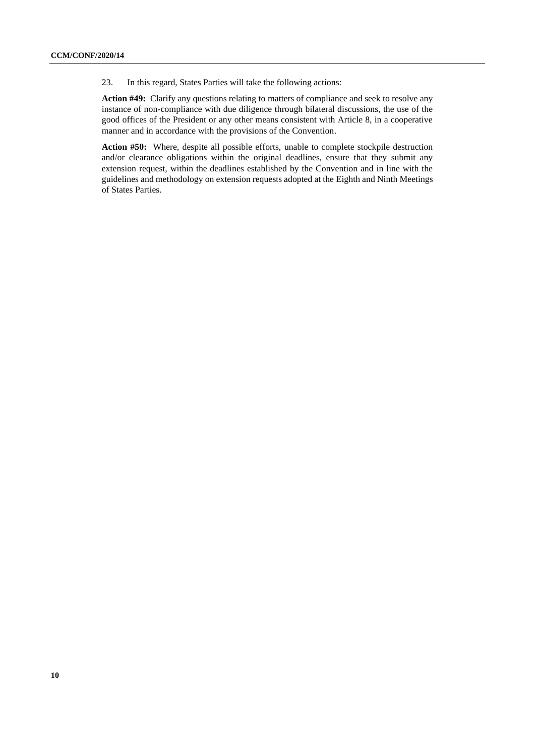23. In this regard, States Parties will take the following actions:

**Action #49:** Clarify any questions relating to matters of compliance and seek to resolve any instance of non-compliance with due diligence through bilateral discussions, the use of the good offices of the President or any other means consistent with Article 8, in a cooperative manner and in accordance with the provisions of the Convention.

**Action #50:** Where, despite all possible efforts, unable to complete stockpile destruction and/or clearance obligations within the original deadlines, ensure that they submit any extension request, within the deadlines established by the Convention and in line with the guidelines and methodology on extension requests adopted at the Eighth and Ninth Meetings of States Parties.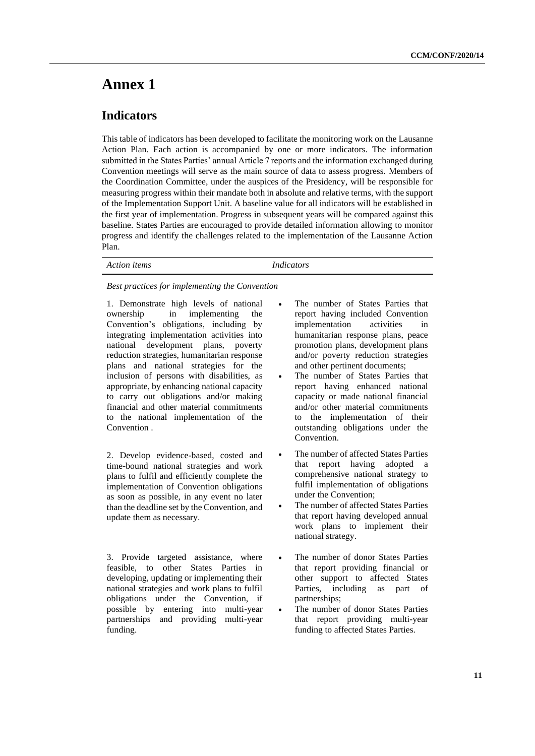# **Indicators**

This table of indicators has been developed to facilitate the monitoring work on the Lausanne Action Plan. Each action is accompanied by one or more indicators. The information submitted in the States Parties' annual Article 7 reports and the information exchanged during Convention meetings will serve as the main source of data to assess progress. Members of the Coordination Committee, under the auspices of the Presidency, will be responsible for measuring progress within their mandate both in absolute and relative terms, with the support of the Implementation Support Unit. A baseline value for all indicators will be established in the first year of implementation. Progress in subsequent years will be compared against this baseline. States Parties are encouraged to provide detailed information allowing to monitor progress and identify the challenges related to the implementation of the Lausanne Action Plan.

| Action items | <i>Indicators</i> |
|--------------|-------------------|
|              |                   |

#### *Best practices for implementing the Convention*

1. Demonstrate high levels of national ownership in implementing the Convention's obligations, including by integrating implementation activities into national development plans, poverty reduction strategies, humanitarian response plans and national strategies for the inclusion of persons with disabilities, as appropriate, by enhancing national capacity to carry out obligations and/or making financial and other material commitments to the national implementation of the Convention .

2. Develop evidence-based, costed and time-bound national strategies and work plans to fulfil and efficiently complete the implementation of Convention obligations as soon as possible, in any event no later than the deadline set by the Convention, and update them as necessary.

3. Provide targeted assistance, where feasible, to other States Parties in developing, updating or implementing their national strategies and work plans to fulfil obligations under the Convention, if possible by entering into multi-year partnerships and providing multi-year funding.

- The number of States Parties that report having included Convention implementation activities in humanitarian response plans, peace promotion plans, development plans and/or poverty reduction strategies and other pertinent documents;
- The number of States Parties that report having enhanced national capacity or made national financial and/or other material commitments to the implementation of their outstanding obligations under the Convention.
- The number of affected States Parties that report having adopted a comprehensive national strategy to fulfil implementation of obligations under the Convention;
- The number of affected States Parties that report having developed annual work plans to implement their national strategy.
- The number of donor States Parties that report providing financial or other support to affected States Parties, including as part of partnerships;
- The number of donor States Parties that report providing multi-year funding to affected States Parties.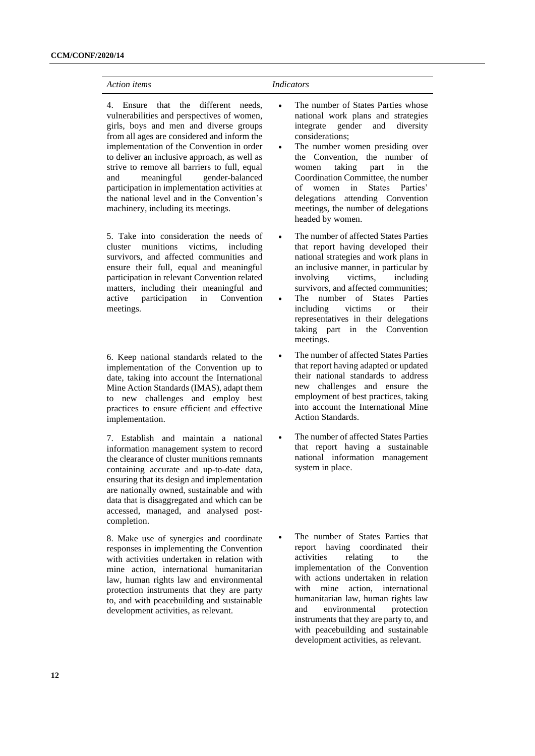4. Ensure that the different needs, vulnerabilities and perspectives of women, girls, boys and men and diverse groups from all ages are considered and inform the implementation of the Convention in order to deliver an inclusive approach, as well as strive to remove all barriers to full, equal<br>and meaningful gender-balanced and meaningful gender-balanced participation in implementation activities at the national level and in the Convention's machinery, including its meetings.

5. Take into consideration the needs of cluster munitions victims, including survivors, and affected communities and ensure their full, equal and meaningful participation in relevant Convention related matters, including their meaningful and<br>active participation in Convention active participation in meetings.

6. Keep national standards related to the implementation of the Convention up to date, taking into account the International Mine Action Standards (IMAS), adapt them to new challenges and employ best practices to ensure efficient and effective implementation.

7. Establish and maintain a national information management system to record the clearance of cluster munitions remnants containing accurate and up-to-date data, ensuring that its design and implementation are nationally owned, sustainable and with data that is disaggregated and which can be accessed, managed, and analysed postcompletion.

8. Make use of synergies and coordinate responses in implementing the Convention with activities undertaken in relation with mine action, international humanitarian law, human rights law and environmental protection instruments that they are party to, and with peacebuilding and sustainable development activities, as relevant.

- The number of States Parties whose national work plans and strategies integrate gender and diversity considerations;
- The number women presiding over the Convention, the number of women taking part in the taking part in the Coordination Committee, the number of women in States Parties' delegations attending Convention meetings, the number of delegations headed by women.
- The number of affected States Parties that report having developed their national strategies and work plans in an inclusive manner, in particular by involving victims, including survivors, and affected communities;
- The number of States Parties including victims or their representatives in their delegations taking part in the Convention meetings.
- The number of affected States Parties that report having adapted or updated their national standards to address new challenges and ensure the employment of best practices, taking into account the International Mine Action Standards.
- The number of affected States Parties that report having a sustainable national information management system in place.
- The number of States Parties that report having coordinated their activities relating to the implementation of the Convention with actions undertaken in relation with mine action, international humanitarian law, human rights law and environmental protection instruments that they are party to, and with peacebuilding and sustainable development activities, as relevant.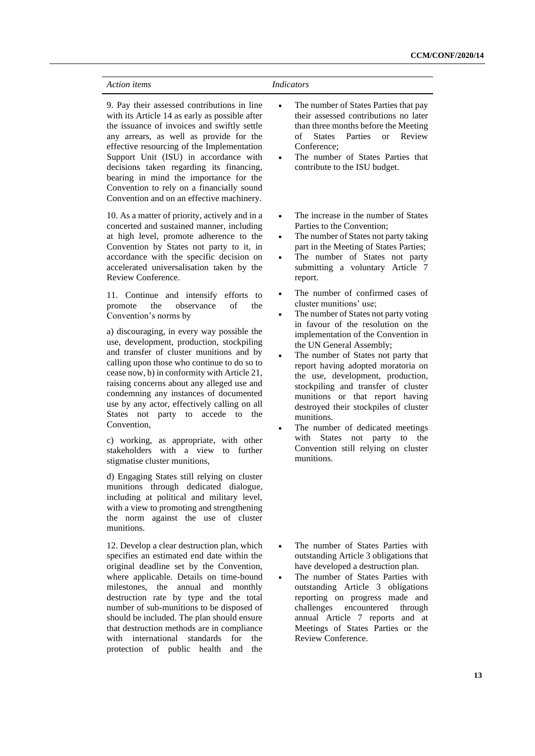| <b>Action</b> <i>items</i>                                                                                                                                                                                                                                                                                                                                                                                                                                                                                                                                                                                                                                                                                                                                                                                                                                                                                     | <b>Indicators</b>                                                                                                                                                                                                                                                                                                                                                                                                                                                                                                                                                                                                                              |
|----------------------------------------------------------------------------------------------------------------------------------------------------------------------------------------------------------------------------------------------------------------------------------------------------------------------------------------------------------------------------------------------------------------------------------------------------------------------------------------------------------------------------------------------------------------------------------------------------------------------------------------------------------------------------------------------------------------------------------------------------------------------------------------------------------------------------------------------------------------------------------------------------------------|------------------------------------------------------------------------------------------------------------------------------------------------------------------------------------------------------------------------------------------------------------------------------------------------------------------------------------------------------------------------------------------------------------------------------------------------------------------------------------------------------------------------------------------------------------------------------------------------------------------------------------------------|
| 9. Pay their assessed contributions in line<br>with its Article 14 as early as possible after<br>the issuance of invoices and swiftly settle<br>any arrears, as well as provide for the<br>effective resourcing of the Implementation<br>Support Unit (ISU) in accordance with<br>decisions taken regarding its financing,<br>bearing in mind the importance for the<br>Convention to rely on a financially sound<br>Convention and on an effective machinery.                                                                                                                                                                                                                                                                                                                                                                                                                                                 | The number of States Parties that pay<br>$\bullet$<br>their assessed contributions no later<br>than three months before the Meeting<br><b>States</b><br>Parties<br>$\alpha$<br>Review<br>of<br>Conference;<br>The number of States Parties that<br>contribute to the ISU budget.                                                                                                                                                                                                                                                                                                                                                               |
| 10. As a matter of priority, actively and in a<br>concerted and sustained manner, including<br>at high level, promote adherence to the<br>Convention by States not party to it, in<br>accordance with the specific decision on<br>accelerated universalisation taken by the<br>Review Conference.                                                                                                                                                                                                                                                                                                                                                                                                                                                                                                                                                                                                              | The increase in the number of States<br>$\bullet$<br>Parties to the Convention;<br>The number of States not party taking<br>$\bullet$<br>part in the Meeting of States Parties;<br>The number of States not party<br>$\bullet$<br>submitting a voluntary Article 7<br>report.                                                                                                                                                                                                                                                                                                                                                                  |
| 11. Continue and intensify efforts to<br>of<br>the<br>observance<br>the<br>promote<br>Convention's norms by<br>a) discouraging, in every way possible the<br>use, development, production, stockpiling<br>and transfer of cluster munitions and by<br>calling upon those who continue to do so to<br>cease now, b) in conformity with Article 21,<br>raising concerns about any alleged use and<br>condemning any instances of documented<br>use by any actor, effectively calling on all<br>States not party to accede to the<br>Convention,<br>c) working, as appropriate, with other<br>stakeholders with a view<br>to<br>further<br>stigmatise cluster munitions,<br>d) Engaging States still relying on cluster<br>munitions through dedicated dialogue,<br>including at political and military level,<br>with a view to promoting and strengthening<br>the norm against the use of cluster<br>munitions. | The number of confirmed cases of<br>$\bullet$<br>cluster munitions' use;<br>The number of States not party voting<br>$\bullet$<br>in favour of the resolution on the<br>implementation of the Convention in<br>the UN General Assembly;<br>The number of States not party that<br>report having adopted moratoria on<br>the use, development, production,<br>stockpiling and transfer of cluster<br>munitions or that report having<br>destroyed their stockpiles of cluster<br>munitions.<br>The number of dedicated meetings<br>٠<br>with<br><b>States</b><br>not<br>the<br>party<br>to<br>Convention still relying on cluster<br>munitions. |
| 12. Develop a clear destruction plan, which<br>specifies an estimated end date within the<br>original deadline set by the Convention,<br>where applicable. Details on time-bound<br>milestones, the annual and monthly<br>destruction rate by type and the total<br>number of sub-munitions to be disposed of<br>should be included. The plan should ensure<br>that destruction methods are in compliance<br>with international<br>standards<br>for<br>the<br>protection of public health<br>and<br>the                                                                                                                                                                                                                                                                                                                                                                                                        | The number of States Parties with<br>$\bullet$<br>outstanding Article 3 obligations that<br>have developed a destruction plan.<br>The number of States Parties with<br>$\bullet$<br>outstanding Article 3 obligations<br>reporting on progress made and<br>challenges<br>encountered<br>through<br>annual Article 7 reports and at<br>Meetings of States Parties or the<br>Review Conference.                                                                                                                                                                                                                                                  |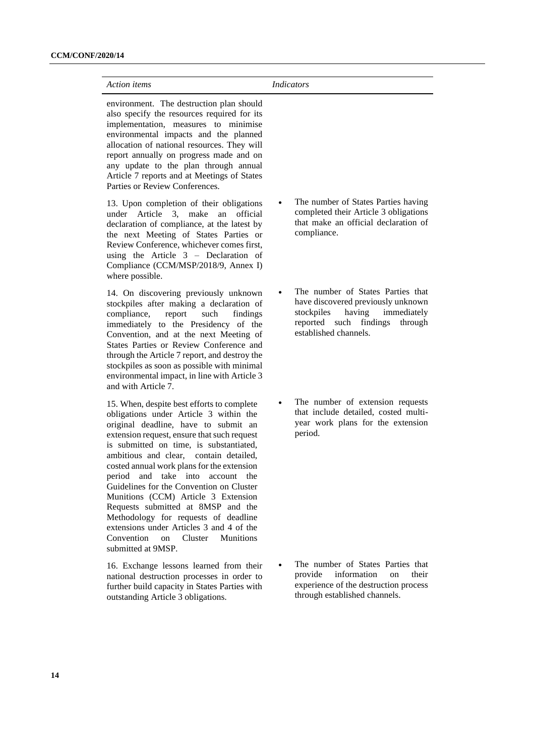| <b>Action</b> items                                                                                                                                                                                                                                                                                                                                                                                                                                                                                                                                                                                                                                  | <b>Indicators</b>                                                                                                                                                            |
|------------------------------------------------------------------------------------------------------------------------------------------------------------------------------------------------------------------------------------------------------------------------------------------------------------------------------------------------------------------------------------------------------------------------------------------------------------------------------------------------------------------------------------------------------------------------------------------------------------------------------------------------------|------------------------------------------------------------------------------------------------------------------------------------------------------------------------------|
| environment. The destruction plan should<br>also specify the resources required for its<br>implementation, measures to minimise<br>environmental impacts and the planned<br>allocation of national resources. They will<br>report annually on progress made and on<br>any update to the plan through annual<br>Article 7 reports and at Meetings of States<br>Parties or Review Conferences.                                                                                                                                                                                                                                                         |                                                                                                                                                                              |
| 13. Upon completion of their obligations<br>under Article 3, make<br>official<br>an<br>declaration of compliance, at the latest by<br>the next Meeting of States Parties or<br>Review Conference, whichever comes first,<br>using the Article $3$ – Declaration of<br>Compliance (CCM/MSP/2018/9, Annex I)<br>where possible.                                                                                                                                                                                                                                                                                                                        | The number of States Parties having<br>٠<br>completed their Article 3 obligations<br>that make an official declaration of<br>compliance.                                     |
| 14. On discovering previously unknown<br>stockpiles after making a declaration of<br>compliance,<br>such<br>report<br>findings<br>immediately to the Presidency of the<br>Convention, and at the next Meeting of<br>States Parties or Review Conference and<br>through the Article 7 report, and destroy the<br>stockpiles as soon as possible with minimal<br>environmental impact, in line with Article 3<br>and with Article 7.                                                                                                                                                                                                                   | The number of States Parties that<br>have discovered previously unknown<br>having<br>stockpiles<br>immediately<br>reported such findings<br>through<br>established channels. |
| 15. When, despite best efforts to complete<br>obligations under Article 3 within the<br>original deadline, have to submit an<br>extension request, ensure that such request<br>is submitted on time, is substantiated,<br>ambitious and clear, contain detailed,<br>costed annual work plans for the extension<br>take into<br>period<br>and<br>account<br>the<br>Guidelines for the Convention on Cluster<br>Munitions (CCM) Article 3 Extension<br>Requests submitted at 8MSP and the<br>Methodology for requests of deadline<br>extensions under Articles 3 and 4 of the<br>Convention<br>on<br>Cluster<br><b>Munitions</b><br>submitted at 9MSP. | The number of extension requests<br>that include detailed, costed multi-<br>year work plans for the extension<br>period.                                                     |
| 16. Exchange lessons learned from their<br>national destruction processes in order to<br>further build capacity in States Parties with<br>outstanding Article 3 obligations.                                                                                                                                                                                                                                                                                                                                                                                                                                                                         | The number of States Parties that<br>information<br>provide<br>their<br>on<br>experience of the destruction process<br>through established channels.                         |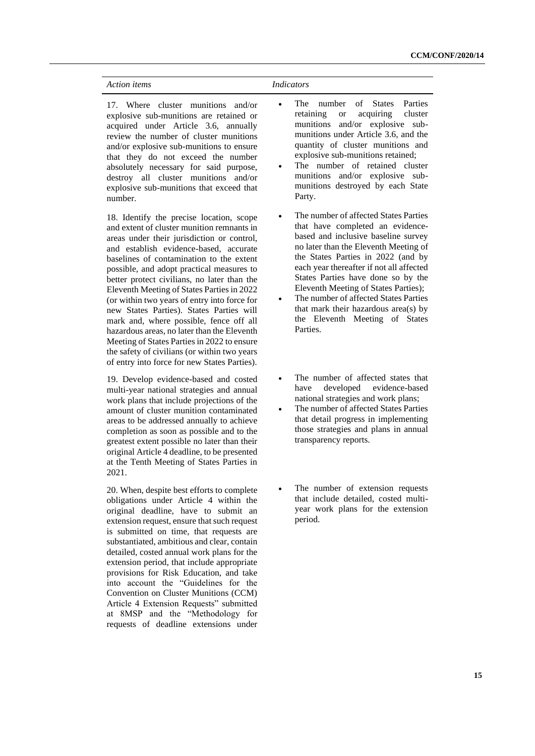| <b>Action</b> <i>items</i>                                                                                                                                                                                                                                                                                                                                                                                                                                                                                                                                                                                                                                                                                | <b>Indicators</b>                                                                                                                                                                                                                                                                                                                                                                                                                                        |
|-----------------------------------------------------------------------------------------------------------------------------------------------------------------------------------------------------------------------------------------------------------------------------------------------------------------------------------------------------------------------------------------------------------------------------------------------------------------------------------------------------------------------------------------------------------------------------------------------------------------------------------------------------------------------------------------------------------|----------------------------------------------------------------------------------------------------------------------------------------------------------------------------------------------------------------------------------------------------------------------------------------------------------------------------------------------------------------------------------------------------------------------------------------------------------|
| 17. Where cluster munitions and/or<br>explosive sub-munitions are retained or<br>acquired under Article 3.6, annually<br>review the number of cluster munitions<br>and/or explosive sub-munitions to ensure<br>that they do not exceed the number<br>absolutely necessary for said purpose,<br>destroy all cluster munitions and/or<br>explosive sub-munitions that exceed that<br>number.                                                                                                                                                                                                                                                                                                                | number<br>of<br>Parties<br>The<br><b>States</b><br>retaining<br>acquiring<br>cluster<br><b>or</b><br>munitions<br>and/or explosive sub-<br>munitions under Article 3.6, and the<br>quantity of cluster munitions and<br>explosive sub-munitions retained;<br>The number of retained cluster<br>munitions and/or explosive sub-<br>munitions destroyed by each State<br>Party.                                                                            |
| 18. Identify the precise location, scope<br>and extent of cluster munition remnants in<br>areas under their jurisdiction or control,<br>and establish evidence-based, accurate<br>baselines of contamination to the extent<br>possible, and adopt practical measures to<br>better protect civilians, no later than the<br>Eleventh Meeting of States Parties in 2022<br>(or within two years of entry into force for<br>new States Parties). States Parties will<br>mark and, where possible, fence off all<br>hazardous areas, no later than the Eleventh<br>Meeting of States Parties in 2022 to ensure<br>the safety of civilians (or within two years<br>of entry into force for new States Parties). | The number of affected States Parties<br>that have completed an evidence-<br>based and inclusive baseline survey<br>no later than the Eleventh Meeting of<br>the States Parties in 2022 (and by<br>each year thereafter if not all affected<br>States Parties have done so by the<br>Eleventh Meeting of States Parties);<br>The number of affected States Parties<br>that mark their hazardous area(s) by<br>the Eleventh Meeting of States<br>Parties. |
| 19. Develop evidence-based and costed<br>multi-year national strategies and annual<br>work plans that include projections of the<br>amount of cluster munition contaminated<br>areas to be addressed annually to achieve<br>completion as soon as possible and to the<br>greatest extent possible no later than their<br>original Article 4 deadline, to be presented                                                                                                                                                                                                                                                                                                                                     | The number of affected states that<br>$\bullet$<br>developed<br>evidence-based<br>have<br>national strategies and work plans;<br>The number of affected States Parties<br>$\bullet$<br>that detail progress in implementing<br>those strategies and plans in annual<br>transparency reports.                                                                                                                                                             |

20. When, despite best efforts to complete obligations under Article 4 within the original deadline, have to submit an extension request, ensure that such request is submitted on time, that requests are substantiated, ambitious and clear, contain detailed, costed annual work plans for the extension period, that include appropriate provisions for Risk Education, and take into account the "Guidelines for the Convention on Cluster Munitions (CCM) Article 4 Extension Requests" submitted at 8MSP and the "Methodology for requests of deadline extensions under

at the Tenth Meeting of States Parties in

2021.

• The number of extension requests that include detailed, costed multiyear work plans for the extension period.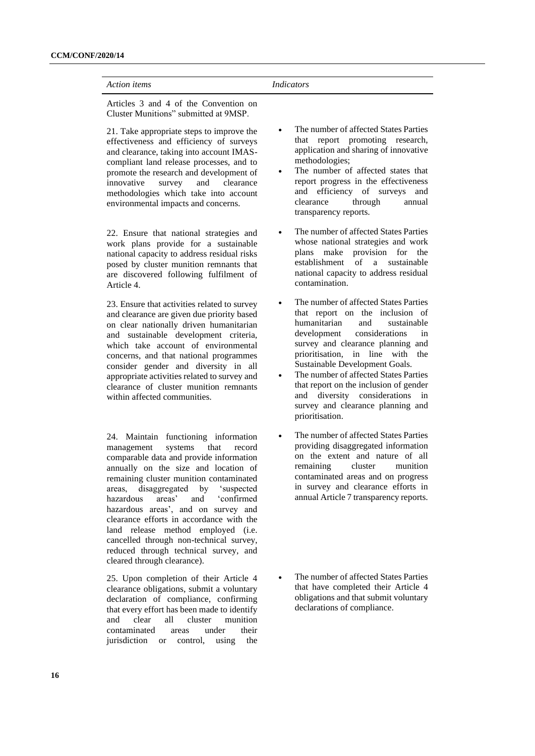Articles 3 and 4 of the Convention on Cluster Munitions" submitted at 9MSP.

21. Take appropriate steps to improve the effectiveness and efficiency of surveys and clearance, taking into account IMAScompliant land release processes, and to promote the research and development of<br>innovative survey and clearance innovative methodologies which take into account environmental impacts and concerns.

22. Ensure that national strategies and work plans provide for a sustainable national capacity to address residual risks posed by cluster munition remnants that are discovered following fulfilment of Article 4.

23. Ensure that activities related to survey and clearance are given due priority based on clear nationally driven humanitarian and sustainable development criteria, which take account of environmental concerns, and that national programmes consider gender and diversity in all appropriate activities related to survey and clearance of cluster munition remnants within affected communities.

24. Maintain functioning information management systems that record comparable data and provide information annually on the size and location of remaining cluster munition contaminated areas, disaggregated by 'suspected hazardous areas' and 'confirmed hazardous areas', and on survey and clearance efforts in accordance with the land release method employed (i.e. cancelled through non-technical survey, reduced through technical survey, and cleared through clearance).

25. Upon completion of their Article 4 clearance obligations, submit a voluntary declaration of compliance, confirming that every effort has been made to identify and clear all cluster munition contaminated areas under their jurisdiction or control, using the

- The number of affected States Parties that report promoting research, application and sharing of innovative methodologies;
- The number of affected states that report progress in the effectiveness and efficiency of surveys and clearance transparency reports.
- The number of affected States Parties whose national strategies and work plans make provision for the<br>establishment of a sustainable of a sustainable national capacity to address residual contamination.
- The number of affected States Parties that report on the inclusion of<br>humanitarian and sustainable humanitarian and development considerations in survey and clearance planning and prioritisation, in line with the Sustainable Development Goals.
- The number of affected States Parties that report on the inclusion of gender and diversity considerations in survey and clearance planning and prioritisation.
- The number of affected States Parties providing disaggregated information on the extent and nature of all remaining cluster munition contaminated areas and on progress in survey and clearance efforts in annual Article 7 transparency reports.
- The number of affected States Parties that have completed their Article 4 obligations and that submit voluntary declarations of compliance.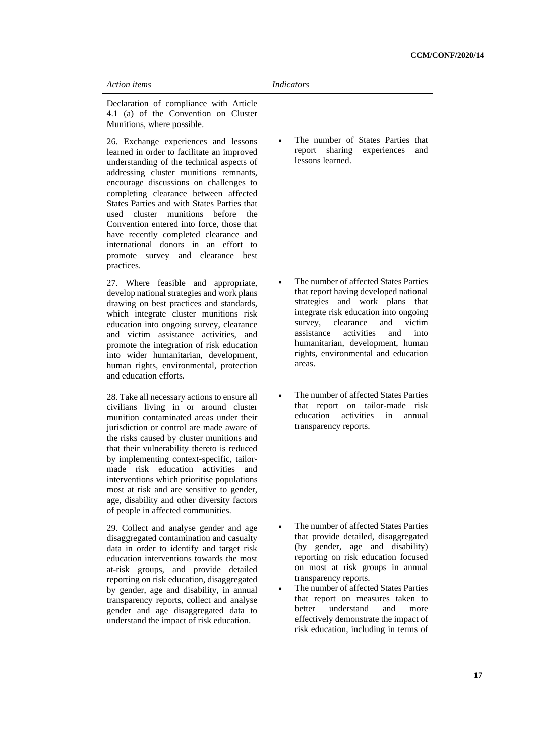| Action <i>items</i>                                                                                                                                                                                                                                                                                                                                                                                                                                                                                                                                | <i>Indicators</i>                                                                                                                                                                                                                                                                                                                  |
|----------------------------------------------------------------------------------------------------------------------------------------------------------------------------------------------------------------------------------------------------------------------------------------------------------------------------------------------------------------------------------------------------------------------------------------------------------------------------------------------------------------------------------------------------|------------------------------------------------------------------------------------------------------------------------------------------------------------------------------------------------------------------------------------------------------------------------------------------------------------------------------------|
| Declaration of compliance with Article<br>4.1 (a) of the Convention on Cluster<br>Munitions, where possible.                                                                                                                                                                                                                                                                                                                                                                                                                                       |                                                                                                                                                                                                                                                                                                                                    |
| 26. Exchange experiences and lessons<br>learned in order to facilitate an improved<br>understanding of the technical aspects of<br>addressing cluster munitions remnants,<br>encourage discussions on challenges to<br>completing clearance between affected<br>States Parties and with States Parties that<br>used<br>cluster munitions before<br>the<br>Convention entered into force, those that<br>have recently completed clearance and<br>international donors in an effort to<br>promote survey and clearance best<br>practices.            | The number of States Parties that<br>$\bullet$<br>sharing<br>experiences<br>report<br>and<br>lessons learned.                                                                                                                                                                                                                      |
| 27. Where feasible and appropriate,<br>develop national strategies and work plans<br>drawing on best practices and standards,<br>which integrate cluster munitions risk<br>education into ongoing survey, clearance<br>and victim assistance activities, and<br>promote the integration of risk education<br>into wider humanitarian, development,<br>human rights, environmental, protection<br>and education efforts.                                                                                                                            | The number of affected States Parties<br>that report having developed national<br>strategies and work plans that<br>integrate risk education into ongoing<br>survey,<br>clearance<br>and<br>victim<br>activities<br>assistance<br>and<br>into<br>humanitarian, development, human<br>rights, environmental and education<br>areas. |
| 28. Take all necessary actions to ensure all<br>civilians living in or around cluster<br>munition contaminated areas under their<br>jurisdiction or control are made aware of<br>the risks caused by cluster munitions and<br>that their vulnerability thereto is reduced<br>by implementing context-specific, tailor-<br>education activities<br>made risk<br>and<br>interventions which prioritise populations<br>most at risk and are sensitive to gender,<br>age, disability and other diversity factors<br>of people in affected communities. | The number of affected States Parties<br>that report on tailor-made risk<br>education<br><i>activities</i><br>in<br>annual<br>transparency reports.                                                                                                                                                                                |

29. Collect and analyse gender and age disaggregated contamination and casualty data in order to identify and target risk education interventions towards the most at-risk groups, and provide detailed reporting on risk education, disaggregated by gender, age and disability, in annual transparency reports, collect and analyse gender and age disaggregated data to understand the impact of risk education.

- The number of affected States Parties that provide detailed, disaggregated (by gender, age and disability) reporting on risk education focused on most at risk groups in annual transparency reports.
- The number of affected States Parties that report on measures taken to<br>better understand and more better understand and more effectively demonstrate the impact of risk education, including in terms of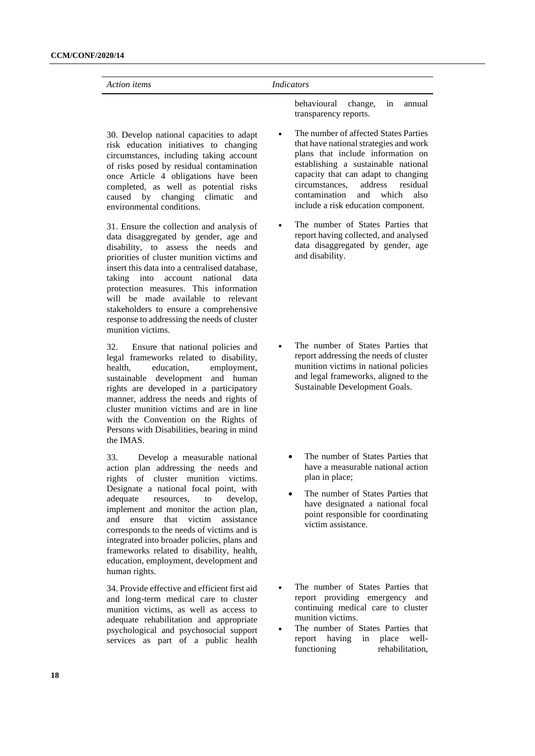30. Develop national capacities to adapt risk education initiatives to changing circumstances, including taking account of risks posed by residual contamination once Article 4 obligations have been completed, as well as potential risks caused by changing climatic and environmental conditions.

31. Ensure the collection and analysis of data disaggregated by gender, age and disability, to assess the needs and priorities of cluster munition victims and insert this data into a centralised database, taking into account national data protection measures. This information will be made available to relevant stakeholders to ensure a comprehensive response to addressing the needs of cluster munition victims.

32. Ensure that national policies and legal frameworks related to disability, health, education, employment, sustainable development and human rights are developed in a participatory manner, address the needs and rights of cluster munition victims and are in line with the Convention on the Rights of Persons with Disabilities, bearing in mind the IMAS.

33. Develop a measurable national action plan addressing the needs and rights of cluster munition victims. Designate a national focal point, with adequate resources, to develop, implement and monitor the action plan, and ensure that victim assistance corresponds to the needs of victims and is integrated into broader policies, plans and frameworks related to disability, health, education, employment, development and human rights.

34. Provide effective and efficient first aid and long-term medical care to cluster munition victims, as well as access to adequate rehabilitation and appropriate psychological and psychosocial support services as part of a public health

behavioural change, in annual transparency reports.

- The number of affected States Parties that have national strategies and work plans that include information on establishing a sustainable national capacity that can adapt to changing<br>circumstances. address residual address residual contamination and which also include a risk education component.
- The number of States Parties that report having collected, and analysed data disaggregated by gender, age and disability.

- The number of States Parties that report addressing the needs of cluster munition victims in national policies and legal frameworks, aligned to the Sustainable Development Goals.
	- The number of States Parties that have a measurable national action plan in place;
	- The number of States Parties that have designated a national focal point responsible for coordinating victim assistance.
- The number of States Parties that report providing emergency and continuing medical care to cluster munition victims.
- The number of States Parties that report having in place wellfunctioning rehabilitation,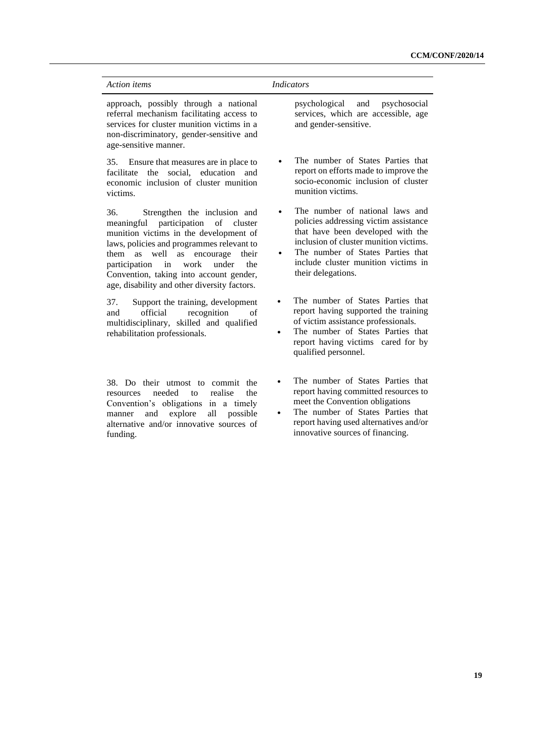| <b>Action</b> items                                                                                                                                                                                                                                                                                                                                                                     | <i>Indicators</i>                                                                                                                                                                                                                                              |
|-----------------------------------------------------------------------------------------------------------------------------------------------------------------------------------------------------------------------------------------------------------------------------------------------------------------------------------------------------------------------------------------|----------------------------------------------------------------------------------------------------------------------------------------------------------------------------------------------------------------------------------------------------------------|
| approach, possibly through a national<br>referral mechanism facilitating access to<br>services for cluster munition victims in a<br>non-discriminatory, gender-sensitive and<br>age-sensitive manner.                                                                                                                                                                                   | psychological<br>and<br>psychosocial<br>services, which are accessible, age<br>and gender-sensitive.                                                                                                                                                           |
| 35. Ensure that measures are in place to<br>the<br>social, education<br>facilitate<br>and<br>economic inclusion of cluster munition<br>victims.                                                                                                                                                                                                                                         | The number of States Parties that<br>report on efforts made to improve the<br>socio-economic inclusion of cluster<br>munition victims.                                                                                                                         |
| 36.<br>Strengthen the inclusion and<br>participation of<br>meaningful<br>cluster<br>munition victims in the development of<br>laws, policies and programmes relevant to<br>them<br>well<br>as<br>encourage<br>their<br>as<br>participation<br>work<br>under<br>$\overline{\text{in}}$<br>the<br>Convention, taking into account gender,<br>age, disability and other diversity factors. | The number of national laws and<br>٠<br>policies addressing victim assistance<br>that have been developed with the<br>inclusion of cluster munition victims.<br>The number of States Parties that<br>include cluster munition victims in<br>their delegations. |
| Support the training, development<br>37.<br>official<br>recognition<br>and<br>of<br>multidisciplinary, skilled and qualified<br>rehabilitation professionals.                                                                                                                                                                                                                           | The number of States Parties that<br>$\bullet$<br>report having supported the training<br>of victim assistance professionals.<br>The number of States Parties that<br>$\bullet$<br>report having victims cared for by<br>qualified personnel.                  |
| 38. Do their utmost to commit<br>the<br>needed<br>realise<br>to<br>the<br>resources<br>Convention's obligations in a timely                                                                                                                                                                                                                                                             | The number of States Parties that<br>report having committed resources to<br>meet the Convention obligations                                                                                                                                                   |

manner and explore all possible alternative and/or innovative sources of

funding.

• The number of States Parties that report having used alternatives and/or innovative sources of financing.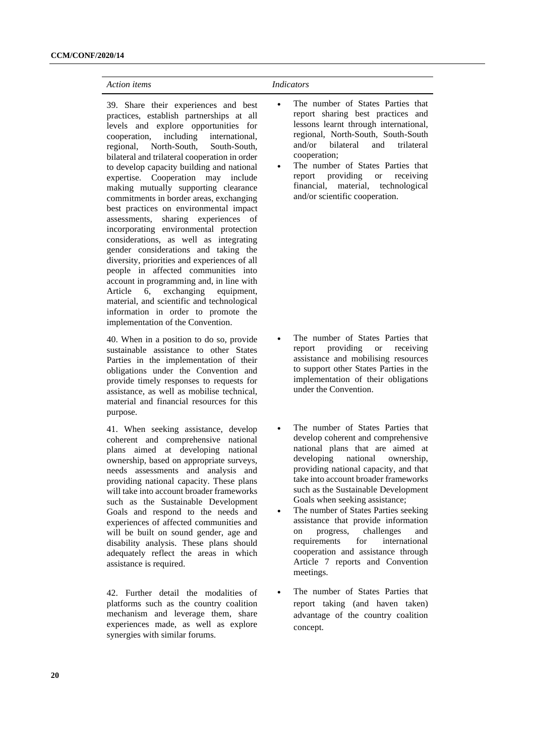39. Share their experiences and best practices, establish partnerships at all levels and explore opportunities for international,<br>South-South. regional, North-South, bilateral and trilateral cooperation in order to develop capacity building and national expertise. Cooperation may include making mutually supporting clearance commitments in border areas, exchanging best practices on environmental impact assessments, sharing experiences of incorporating environmental protection considerations, as well as integrating gender considerations and taking the diversity, priorities and experiences of all people in affected communities into account in programming and, in line with Article 6, exchanging equipment, material, and scientific and technological information in order to promote the implementation of the Convention.

40. When in a position to do so, provide sustainable assistance to other States Parties in the implementation of their obligations under the Convention and provide timely responses to requests for assistance, as well as mobilise technical, material and financial resources for this purpose.

41. When seeking assistance, develop coherent and comprehensive national plans aimed at developing national ownership, based on appropriate surveys, needs assessments and analysis and providing national capacity. These plans will take into account broader frameworks such as the Sustainable Development Goals and respond to the needs and experiences of affected communities and will be built on sound gender, age and disability analysis. These plans should adequately reflect the areas in which assistance is required.

42. Further detail the modalities of platforms such as the country coalition mechanism and leverage them, share experiences made, as well as explore synergies with similar forums.

- The number of States Parties that report sharing best practices and lessons learnt through international, regional, North-South, South-South<br>and/or bilateral and trilateral hilateral and cooperation;
- The number of States Parties that report providing or receiving financial, material, technological and/or scientific cooperation.

- The number of States Parties that report providing or receiving assistance and mobilising resources to support other States Parties in the implementation of their obligations under the Convention.
- The number of States Parties that develop coherent and comprehensive national plans that are aimed at developing national ownership, providing national capacity, and that take into account broader frameworks such as the Sustainable Development Goals when seeking assistance;
- The number of States Parties seeking assistance that provide information on progress, challenges and requirements for international cooperation and assistance through Article 7 reports and Convention meetings.
- The number of States Parties that report taking (and haven taken) advantage of the country coalition concept.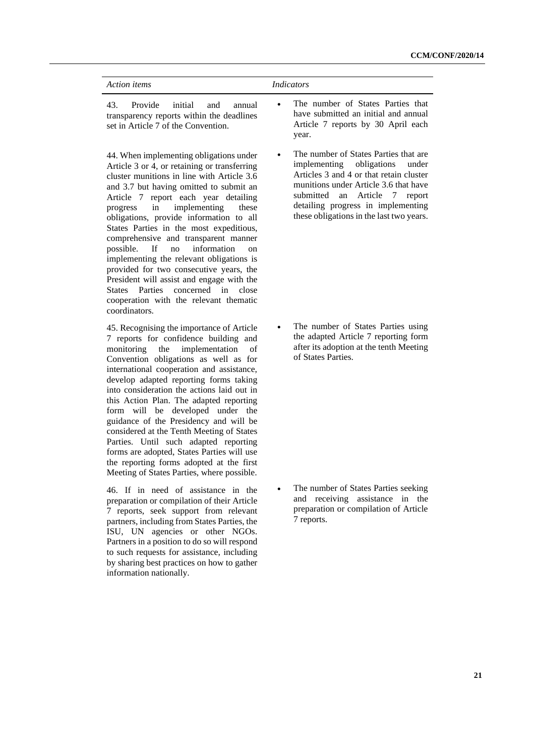| Action items                                                                                                                                                                                                             | <i>Indicators</i>                                                                                                                                                                                                |
|--------------------------------------------------------------------------------------------------------------------------------------------------------------------------------------------------------------------------|------------------------------------------------------------------------------------------------------------------------------------------------------------------------------------------------------------------|
| initial<br><b>Provide</b><br>43.<br>and<br>annual<br>transparency reports within the deadlines<br>set in Article 7 of the Convention.                                                                                    | The number of States Parties that<br>$\bullet$<br>have submitted an initial and annual<br>Article 7 reports by 30 April each<br>year.                                                                            |
| 44. When implementing obligations under<br>Article 3 or 4, or retaining or transferring<br>cluster munitions in line with Article 3.6<br>and 3.7 but having omitted to submit an<br>Article 7 report each year detailing | The number of States Parties that are<br>$\bullet$<br>implementing obligations under<br>Articles 3 and 4 or that retain cluster<br>munitions under Article 3.6 that have<br>submitted an Article<br>-7<br>report |

Article 7 report each year detailing progress in implementing these obligations, provide information to all States Parties in the most expeditious, comprehensive and transparent manner possible. If no information on implementing the relevant obligations is provided for two consecutive years, the President will assist and engage with the States Parties concerned in close cooperation with the relevant thematic coordinators.

45. Recognising the importance of Article 7 reports for confidence building and monitoring the implementation of Convention obligations as well as for international cooperation and assistance, develop adapted reporting forms taking into consideration the actions laid out in this Action Plan. The adapted reporting form will be developed under the guidance of the Presidency and will be considered at the Tenth Meeting of States Parties. Until such adapted reporting forms are adopted, States Parties will use the reporting forms adopted at the first Meeting of States Parties, where possible.

46. If in need of assistance in the preparation or compilation of their Article 7 reports, seek support from relevant partners, including from States Parties, the ISU, UN agencies or other NGOs. Partners in a position to do so will respond to such requests for assistance, including by sharing best practices on how to gather information nationally.

The number of States Parties using the adapted Article 7 reporting form after its adoption at the tenth Meeting of States Parties.

detailing progress in implementing these obligations in the last two years.

The number of States Parties seeking and receiving assistance in the preparation or compilation of Article 7 reports.